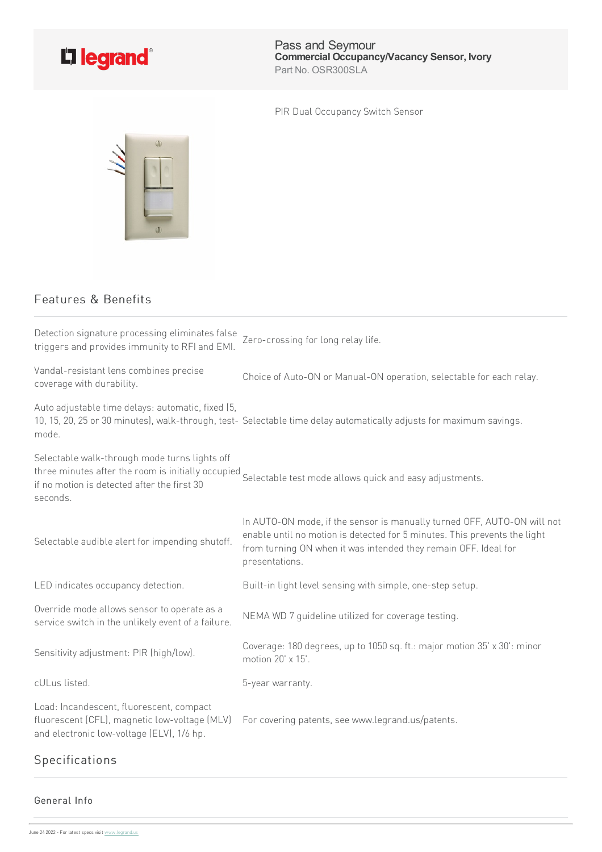

Pass and Seymour **Commercial Occupancy/Vacancy Sensor, Ivory** Part No. OSR300SLA

PIR Dual Occupancy Switch Sensor



## Features & Benefits

| Detection signature processing eliminates false<br>triggers and provides immunity to RFI and EMI.                                      | Zero-crossing for long relay life.                                                                                                                                                                                                        |
|----------------------------------------------------------------------------------------------------------------------------------------|-------------------------------------------------------------------------------------------------------------------------------------------------------------------------------------------------------------------------------------------|
| Vandal-resistant lens combines precise<br>coverage with durability.                                                                    | Choice of Auto-ON or Manual-ON operation, selectable for each relay.                                                                                                                                                                      |
| Auto adjustable time delays: automatic, fixed (5,<br>mode.                                                                             | 10, 15, 20, 25 or 30 minutes), walk-through, test-Selectable time delay automatically adjusts for maximum savings.                                                                                                                        |
| Selectable walk-through mode turns lights off<br>if no motion is detected after the first 30<br>seconds.                               | three minutes after the room is initially occupied<br>Selectable test mode allows quick and easy adjustments.                                                                                                                             |
| Selectable audible alert for impending shutoff.                                                                                        | In AUTO-ON mode, if the sensor is manually turned OFF, AUTO-ON will not<br>enable until no motion is detected for 5 minutes. This prevents the light<br>from turning ON when it was intended they remain OFF. Ideal for<br>presentations. |
| LED indicates occupancy detection.                                                                                                     | Built-in light level sensing with simple, one-step setup.                                                                                                                                                                                 |
| Override mode allows sensor to operate as a<br>service switch in the unlikely event of a failure.                                      | NEMA WD 7 quideline utilized for coverage testing.                                                                                                                                                                                        |
| Sensitivity adjustment: PIR (high/low).                                                                                                | Coverage: 180 degrees, up to 1050 sq. ft.: major motion 35' x 30': minor<br>motion 20' x 15'.                                                                                                                                             |
| cULus listed.                                                                                                                          | 5-year warranty.                                                                                                                                                                                                                          |
| Load: Incandescent, fluorescent, compact<br>fluorescent (CFL), magnetic low-voltage (MLV)<br>and electronic low-voltage (ELV), 1/6 hp. | For covering patents, see www.legrand.us/patents.                                                                                                                                                                                         |

## Specifications

## General Info